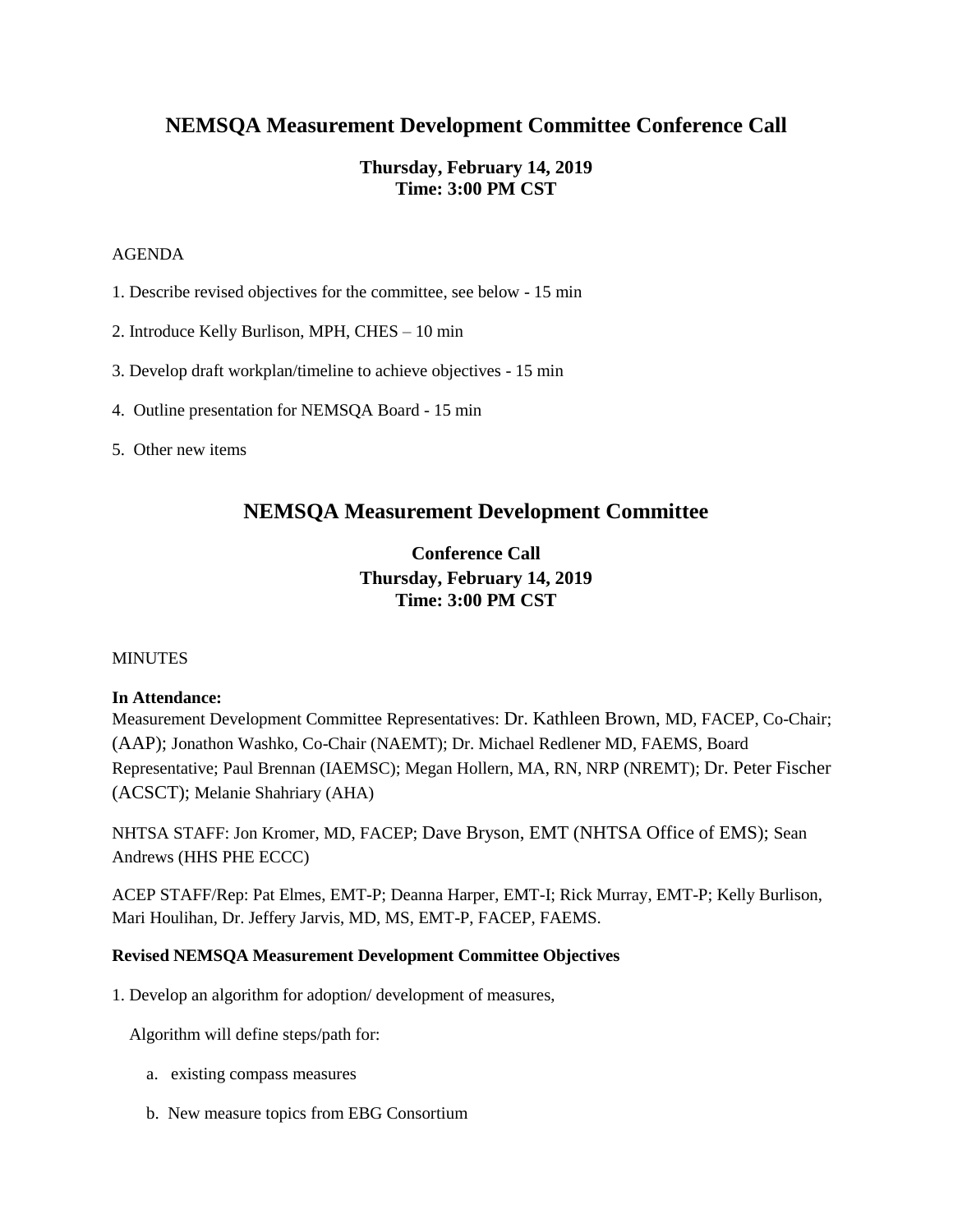# **NEMSQA Measurement Development Committee Conference Call**

## **Thursday, February 14, 2019 Time: 3:00 PM CST**

#### AGENDA

- 1. Describe revised objectives for the committee, see below 15 min
- 2. Introduce Kelly Burlison, MPH, CHES 10 min
- 3. Develop draft workplan/timeline to achieve objectives 15 min
- 4. Outline presentation for NEMSQA Board 15 min
- 5. Other new items

## **NEMSQA Measurement Development Committee**

## **Conference Call Thursday, February 14, 2019 Time: 3:00 PM CST**

### MINUTES

### **In Attendance:**

Measurement Development Committee Representatives: Dr. Kathleen Brown, MD, FACEP, Co-Chair; (AAP); Jonathon Washko, Co-Chair (NAEMT); Dr. Michael Redlener MD, FAEMS, Board Representative; Paul Brennan (IAEMSC); Megan Hollern, MA, RN, NRP (NREMT); Dr. Peter Fischer (ACSCT); Melanie Shahriary (AHA)

NHTSA STAFF: Jon Kromer, MD, FACEP; Dave Bryson, EMT (NHTSA Office of EMS); Sean Andrews (HHS PHE ECCC)

ACEP STAFF/Rep: Pat Elmes, EMT-P; Deanna Harper, EMT-I; Rick Murray, EMT-P; Kelly Burlison, Mari Houlihan, Dr. Jeffery Jarvis, MD, MS, EMT-P, FACEP, FAEMS.

### **Revised NEMSQA Measurement Development Committee Objectives**

1. Develop an algorithm for adoption/ development of measures,

Algorithm will define steps/path for:

- a. existing compass measures
- b. New measure topics from EBG Consortium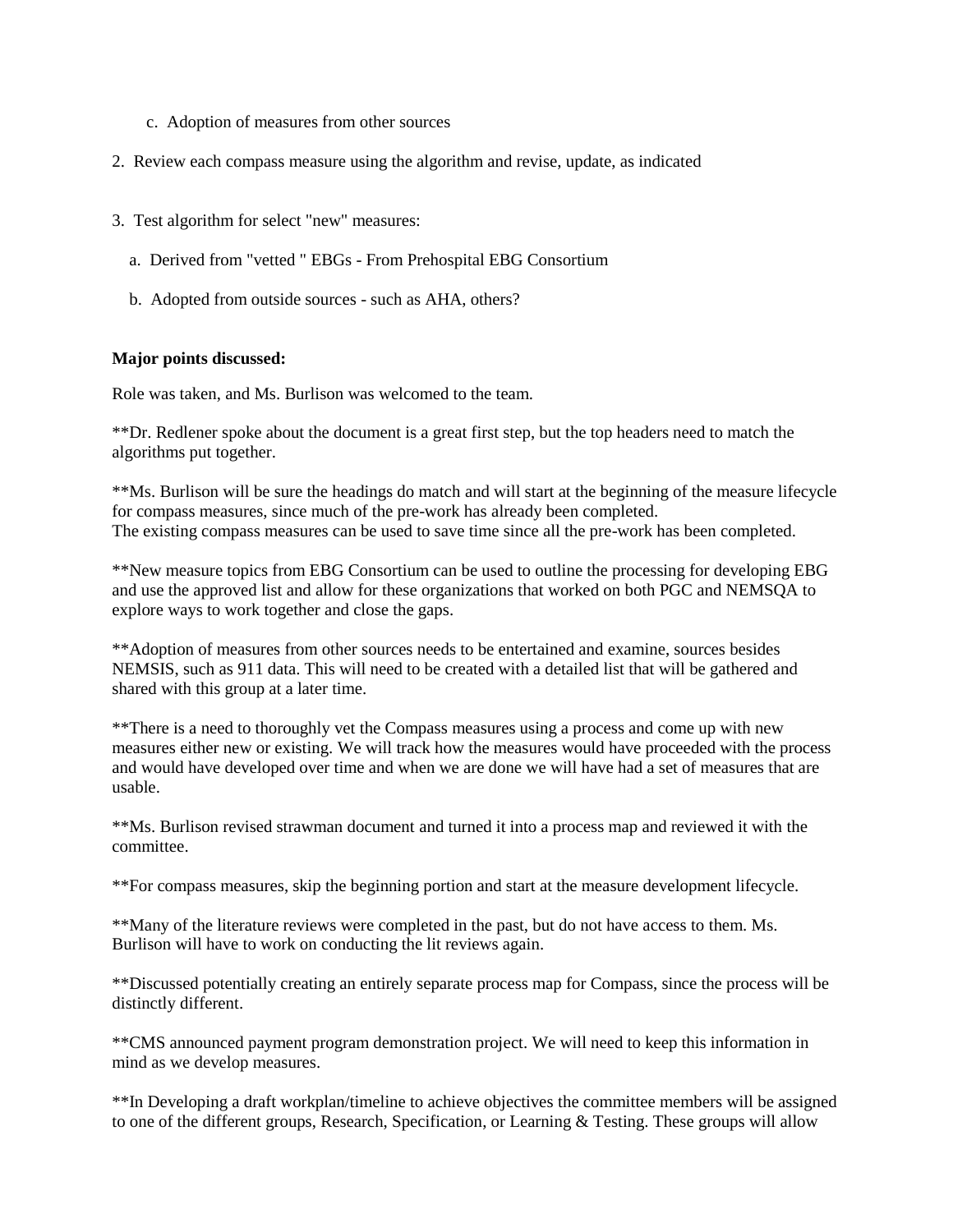- c. Adoption of measures from other sources
- 2. Review each compass measure using the algorithm and revise, update, as indicated
- 3. Test algorithm for select "new" measures:
	- a. Derived from "vetted " EBGs From Prehospital EBG Consortium
	- b. Adopted from outside sources such as AHA, others?

### **Major points discussed:**

Role was taken, and Ms. Burlison was welcomed to the team.

\*\*Dr. Redlener spoke about the document is a great first step, but the top headers need to match the algorithms put together.

\*\*Ms. Burlison will be sure the headings do match and will start at the beginning of the measure lifecycle for compass measures, since much of the pre-work has already been completed. The existing compass measures can be used to save time since all the pre-work has been completed.

\*\*New measure topics from EBG Consortium can be used to outline the processing for developing EBG and use the approved list and allow for these organizations that worked on both PGC and NEMSQA to explore ways to work together and close the gaps.

\*\*Adoption of measures from other sources needs to be entertained and examine, sources besides NEMSIS, such as 911 data. This will need to be created with a detailed list that will be gathered and shared with this group at a later time.

\*\*There is a need to thoroughly vet the Compass measures using a process and come up with new measures either new or existing. We will track how the measures would have proceeded with the process and would have developed over time and when we are done we will have had a set of measures that are usable.

\*\*Ms. Burlison revised strawman document and turned it into a process map and reviewed it with the committee.

\*\*For compass measures, skip the beginning portion and start at the measure development lifecycle.

\*\*Many of the literature reviews were completed in the past, but do not have access to them. Ms. Burlison will have to work on conducting the lit reviews again.

\*\*Discussed potentially creating an entirely separate process map for Compass, since the process will be distinctly different.

\*\*CMS announced payment program demonstration project. We will need to keep this information in mind as we develop measures.

\*\*In Developing a draft workplan/timeline to achieve objectives the committee members will be assigned to one of the different groups, Research, Specification, or Learning & Testing. These groups will allow